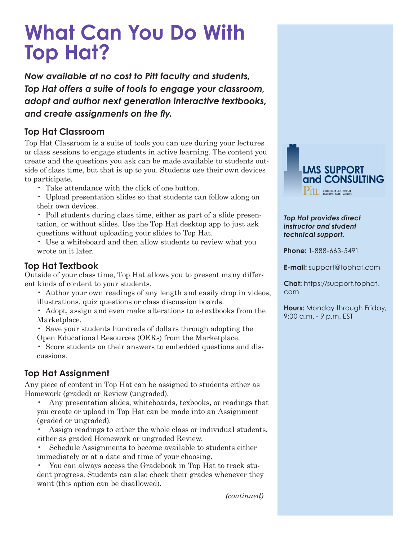# **What Can You Do With Top Hat?**

*Now available at no cost to Pitt faculty and students, Top Hat offers a suite of tools to engage your classroom, adopt and author next generation interactive textbooks, and create assignments on the fly.*

### **Top Hat Classroom**

Top Hat Classroom is a suite of tools you can use during your lectures or class sessions to engage students in active learning. The content you create and the questions you ask can be made available to students outside of class time, but that is up to you. Students use their own devices to participate.

- Take attendance with the click of one button.
- Upload presentation slides so that students can follow along on their own devices.

• Poll students during class time, either as part of a slide presentation, or without slides. Use the Top Hat desktop app to just ask questions without uploading your slides to Top Hat.

• Use a whiteboard and then allow students to review what you wrote on it later.

# **Top Hat Textbook**

Outside of your class time, Top Hat allows you to present many different kinds of content to your students.

• Author your own readings of any length and easily drop in videos, illustrations, quiz questions or class discussion boards.

• Adopt, assign and even make alterations to e-textbooks from the Marketplace.

• Save your students hundreds of dollars through adopting the Open Educational Resources (OERs) from the Marketplace.

• Score students on their answers to embedded questions and discussions.

# **Top Hat Assignment**

Any piece of content in Top Hat can be assigned to students either as Homework (graded) or Review (ungraded).

• Any presentation slides, whiteboards, texbooks, or readings that you create or upload in Top Hat can be made into an Assignment (graded or ungraded).

Assign readings to either the whole class or individual students, either as graded Homework or ungraded Review.

Schedule Assignments to become available to students either immediately or at a date and time of your choosing.

• You can always access the Gradebook in Top Hat to track student progress. Students can also check their grades whenever they want (this option can be disallowed).



#### *Top Hat provides direct instructor and student technical support.*

**Phone:** 1-888-663-5491

**E-mail:** support@tophat.com

**Chat:** https://support.tophat. com

**Hours:** Monday through Friday, 9:00 a.m. - 9 p.m. EST

*(continued)*